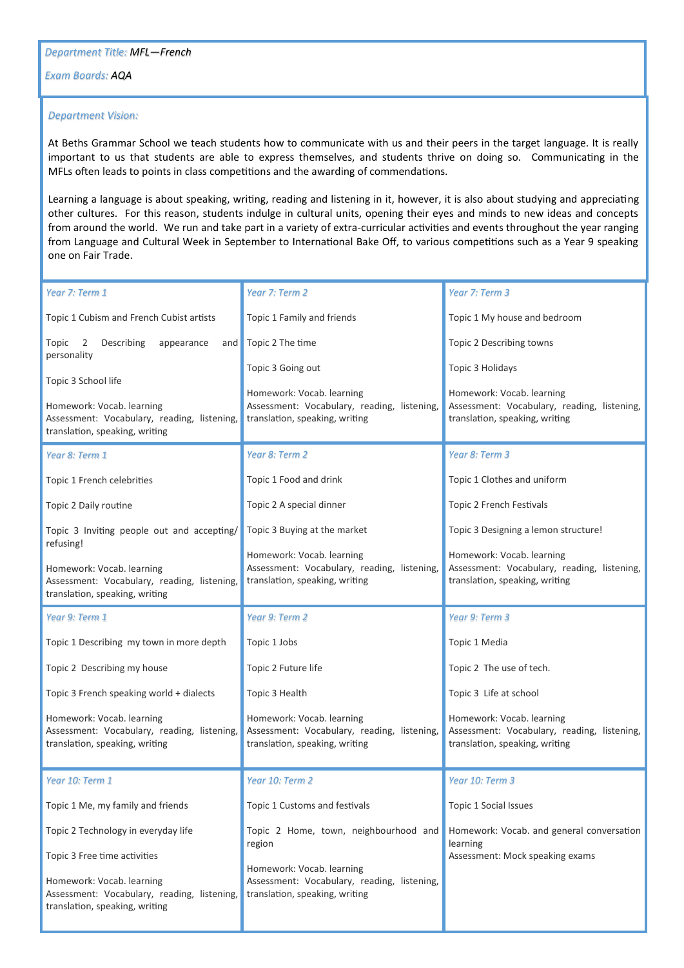## *Department Title: MFL—French*

## *Exam Boards: AQA*

## *Department Vision:*

At Beths Grammar School we teach students how to communicate with us and their peers in the target language. It is really important to us that students are able to express themselves, and students thrive on doing so. Communicating in the MFLs often leads to points in class competitions and the awarding of commendations.

Learning a language is about speaking, writing, reading and listening in it, however, it is also about studying and appreciating other cultures. For this reason, students indulge in cultural units, opening their eyes and minds to new ideas and concepts from around the world. We run and take part in a variety of extra-curricular activities and events throughout the year ranging from Language and Cultural Week in September to International Bake Off, to various competitions such as a Year 9 speaking one on Fair Trade.

| Year 7: Term 1                                                                                                                    | Year 7: Term 2                                                                                             | Year 7: Term 3                                                                                             |  |
|-----------------------------------------------------------------------------------------------------------------------------------|------------------------------------------------------------------------------------------------------------|------------------------------------------------------------------------------------------------------------|--|
| Topic 1 Cubism and French Cubist artists                                                                                          | Topic 1 Family and friends                                                                                 | Topic 1 My house and bedroom                                                                               |  |
| Describing<br>Topic<br>2<br>appearance<br>and<br>personality                                                                      | Topic 2 The time                                                                                           | Topic 2 Describing towns                                                                                   |  |
|                                                                                                                                   | Topic 3 Going out                                                                                          | Topic 3 Holidays                                                                                           |  |
| Topic 3 School life<br>Homework: Vocab. learning<br>Assessment: Vocabulary, reading, listening,<br>translation, speaking, writing | Homework: Vocab. learning<br>Assessment: Vocabulary, reading, listening,<br>translation, speaking, writing | Homework: Vocab. learning<br>Assessment: Vocabulary, reading, listening,<br>translation, speaking, writing |  |
| Year 8: Term 1                                                                                                                    | Year 8: Term 2                                                                                             | Year 8: Term 3                                                                                             |  |
| Topic 1 French celebrities                                                                                                        | Topic 1 Food and drink                                                                                     | Topic 1 Clothes and uniform                                                                                |  |
| Topic 2 Daily routine                                                                                                             | Topic 2 A special dinner                                                                                   | Topic 2 French Festivals                                                                                   |  |
| Topic 3 Inviting people out and accepting/                                                                                        | Topic 3 Buying at the market                                                                               | Topic 3 Designing a lemon structure!                                                                       |  |
| refusing!<br>Homework: Vocab. learning<br>Assessment: Vocabulary, reading, listening,<br>translation, speaking, writing           | Homework: Vocab. learning<br>Assessment: Vocabulary, reading, listening,<br>translation, speaking, writing | Homework: Vocab. learning<br>Assessment: Vocabulary, reading, listening,<br>translation, speaking, writing |  |
| Year 9: Term 1                                                                                                                    | Year 9: Term 2                                                                                             | Year 9: Term 3                                                                                             |  |
| Topic 1 Describing my town in more depth                                                                                          | Topic 1 Jobs                                                                                               | Topic 1 Media                                                                                              |  |
| Topic 2 Describing my house                                                                                                       | Topic 2 Future life                                                                                        | Topic 2 The use of tech.                                                                                   |  |
| Topic 3 French speaking world + dialects                                                                                          | Topic 3 Health                                                                                             | Topic 3 Life at school                                                                                     |  |
| Homework: Vocab. learning<br>Assessment: Vocabulary, reading, listening,<br>translation, speaking, writing                        | Homework: Vocab. learning<br>Assessment: Vocabulary, reading, listening,<br>translation, speaking, writing | Homework: Vocab. learning<br>Assessment: Vocabulary, reading, listening,<br>translation, speaking, writing |  |
| Year 10: Term 1                                                                                                                   | Year 10: Term 2                                                                                            | Year 10: Term 3                                                                                            |  |
| Topic 1 Me, my family and friends                                                                                                 | Topic 1 Customs and festivals                                                                              | Topic 1 Social Issues                                                                                      |  |
| Topic 2 Technology in everyday life                                                                                               | Topic 2 Home, town, neighbourhood and<br>region                                                            | Homework: Vocab. and general conversation<br>learning                                                      |  |
| Topic 3 Free time activities                                                                                                      | Homework: Vocab. learning                                                                                  | Assessment: Mock speaking exams                                                                            |  |
| Homework: Vocab. learning<br>Assessment: Vocabulary, reading, listening,<br>translation, speaking, writing                        | Assessment: Vocabulary, reading, listening,<br>translation, speaking, writing                              |                                                                                                            |  |